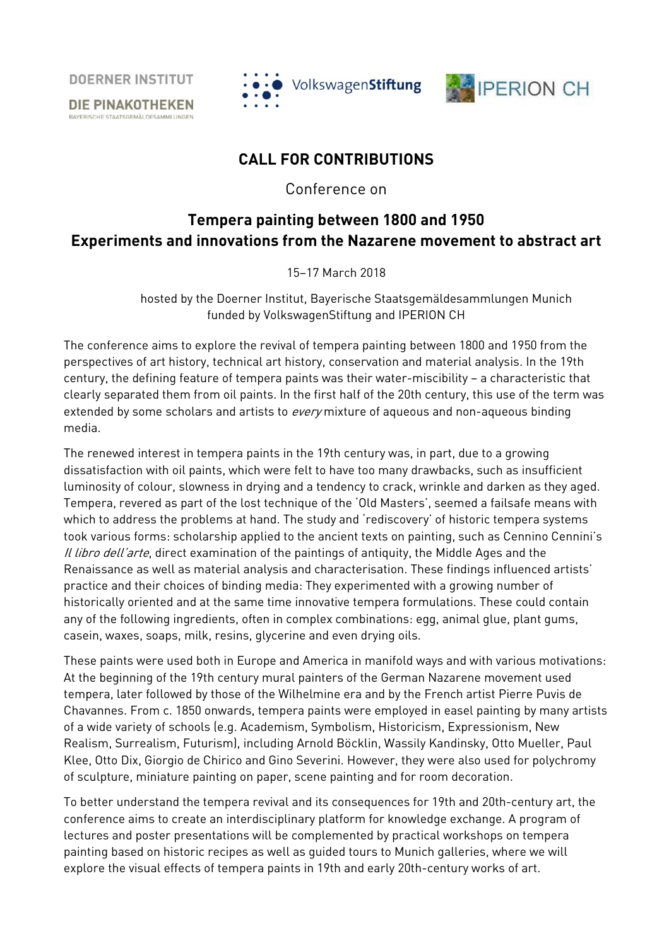**DOERNER INSTITUT** 

BAYERISCHE STAATSGEMÄLDESAMMI UNGEN

VolkswagenStiftung



## **CALL FOR CONTRIBUTIONS**

Conference on

## **Tempera painting between 1800 and 1950 Experiments and innovations from the Nazarene movement to abstract art**

15–17 March 2018

hosted by the Doerner Institut, Bayerische Staatsgemäldesammlungen Munich funded by VolkswagenStiftung and IPERION CH

The conference aims to explore the revival of tempera painting between 1800 and 1950 from the perspectives of art history, technical art history, conservation and material analysis. In the 19th century, the defining feature of tempera paints was their water-miscibility – a characteristic that clearly separated them from oil paints. In the first half of the 20th century, this use of the term was extended by some scholars and artists to every mixture of aqueous and non-aqueous binding media.

The renewed interest in tempera paints in the 19th century was, in part, due to a growing dissatisfaction with oil paints, which were felt to have too many drawbacks, such as insufficient luminosity of colour, slowness in drying and a tendency to crack, wrinkle and darken as they aged. Tempera, revered as part of the lost technique of the 'Old Masters', seemed a failsafe means with which to address the problems at hand. The study and 'rediscovery' of historic tempera systems took various forms: scholarship applied to the ancient texts on painting, such as Cennino Cennini's Il libro dell'arte, direct examination of the paintings of antiquity, the Middle Ages and the Renaissance as well as material analysis and characterisation. These findings influenced artists' practice and their choices of binding media: They experimented with a growing number of historically oriented and at the same time innovative tempera formulations. These could contain any of the following ingredients, often in complex combinations: egg, animal glue, plant gums, casein, waxes, soaps, milk, resins, glycerine and even drying oils.

These paints were used both in Europe and America in manifold ways and with various motivations: At the beginning of the 19th century mural painters of the German Nazarene movement used tempera, later followed by those of the Wilhelmine era and by the French artist Pierre Puvis de Chavannes. From c. 1850 onwards, tempera paints were employed in easel painting by many artists of a wide variety of schools (e.g. Academism, Symbolism, Historicism, Expressionism, New Realism, Surrealism, Futurism), including Arnold Böcklin, Wassily Kandinsky, Otto Mueller, Paul Klee, Otto Dix, Giorgio de Chirico and Gino Severini. However, they were also used for polychromy of sculpture, miniature painting on paper, scene painting and for room decoration.

To better understand the tempera revival and its consequences for 19th and 20th-century art, the conference aims to create an interdisciplinary platform for knowledge exchange. A program of lectures and poster presentations will be complemented by practical workshops on tempera painting based on historic recipes as well as guided tours to Munich galleries, where we will explore the visual effects of tempera paints in 19th and early 20th-century works of art.